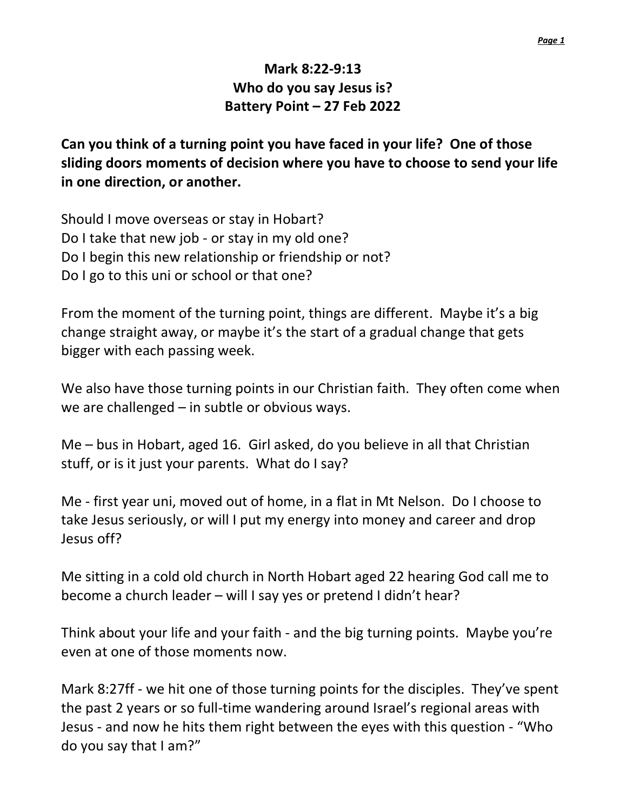## Mark 8:22-9:13 Who do you say Jesus is? Battery Point – 27 Feb 2022

Can you think of a turning point you have faced in your life? One of those sliding doors moments of decision where you have to choose to send your life in one direction, or another.

Should I move overseas or stay in Hobart? Do I take that new job - or stay in my old one? Do I begin this new relationship or friendship or not? Do I go to this uni or school or that one?

From the moment of the turning point, things are different. Maybe it's a big change straight away, or maybe it's the start of a gradual change that gets bigger with each passing week.

We also have those turning points in our Christian faith. They often come when we are challenged – in subtle or obvious ways.

Me – bus in Hobart, aged 16. Girl asked, do you believe in all that Christian stuff, or is it just your parents. What do I say?

Me - first year uni, moved out of home, in a flat in Mt Nelson. Do I choose to take Jesus seriously, or will I put my energy into money and career and drop Jesus off?

Me sitting in a cold old church in North Hobart aged 22 hearing God call me to become a church leader – will I say yes or pretend I didn't hear?

Think about your life and your faith - and the big turning points. Maybe you're even at one of those moments now.

Mark 8:27ff - we hit one of those turning points for the disciples. They've spent the past 2 years or so full-time wandering around Israel's regional areas with Jesus - and now he hits them right between the eyes with this question - "Who do you say that I am?"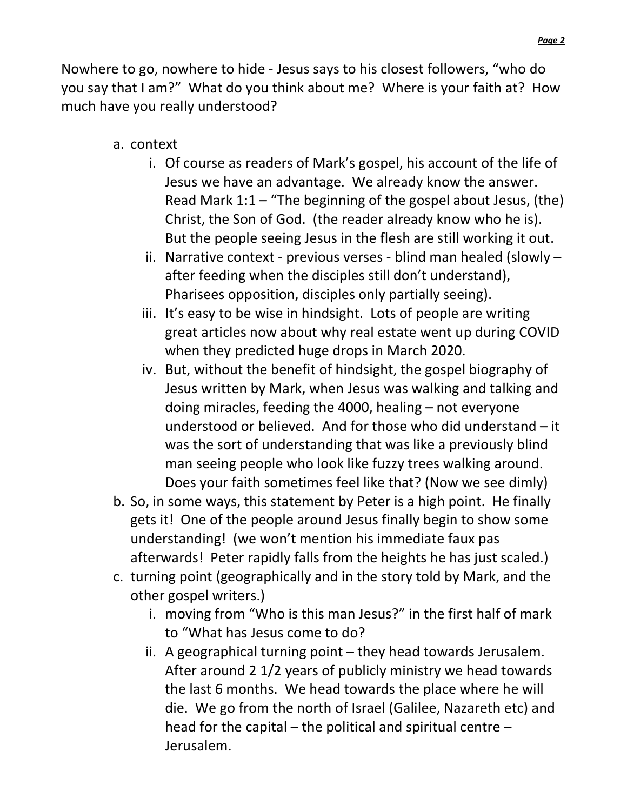Nowhere to go, nowhere to hide - Jesus says to his closest followers, "who do you say that I am?" What do you think about me? Where is your faith at? How much have you really understood?

- a. context
	- i. Of course as readers of Mark's gospel, his account of the life of Jesus we have an advantage. We already know the answer. Read Mark 1:1 – "The beginning of the gospel about Jesus, (the) Christ, the Son of God. (the reader already know who he is). But the people seeing Jesus in the flesh are still working it out.
	- ii. Narrative context previous verses blind man healed (slowly after feeding when the disciples still don't understand), Pharisees opposition, disciples only partially seeing).
	- iii. It's easy to be wise in hindsight. Lots of people are writing great articles now about why real estate went up during COVID when they predicted huge drops in March 2020.
	- iv. But, without the benefit of hindsight, the gospel biography of Jesus written by Mark, when Jesus was walking and talking and doing miracles, feeding the 4000, healing – not everyone understood or believed. And for those who did understand – it was the sort of understanding that was like a previously blind man seeing people who look like fuzzy trees walking around. Does your faith sometimes feel like that? (Now we see dimly)
- b. So, in some ways, this statement by Peter is a high point. He finally gets it! One of the people around Jesus finally begin to show some understanding! (we won't mention his immediate faux pas afterwards! Peter rapidly falls from the heights he has just scaled.)
- c. turning point (geographically and in the story told by Mark, and the other gospel writers.)
	- i. moving from "Who is this man Jesus?" in the first half of mark to "What has Jesus come to do?
	- ii. A geographical turning point they head towards Jerusalem. After around 2 1/2 years of publicly ministry we head towards the last 6 months. We head towards the place where he will die. We go from the north of Israel (Galilee, Nazareth etc) and head for the capital – the political and spiritual centre – Jerusalem.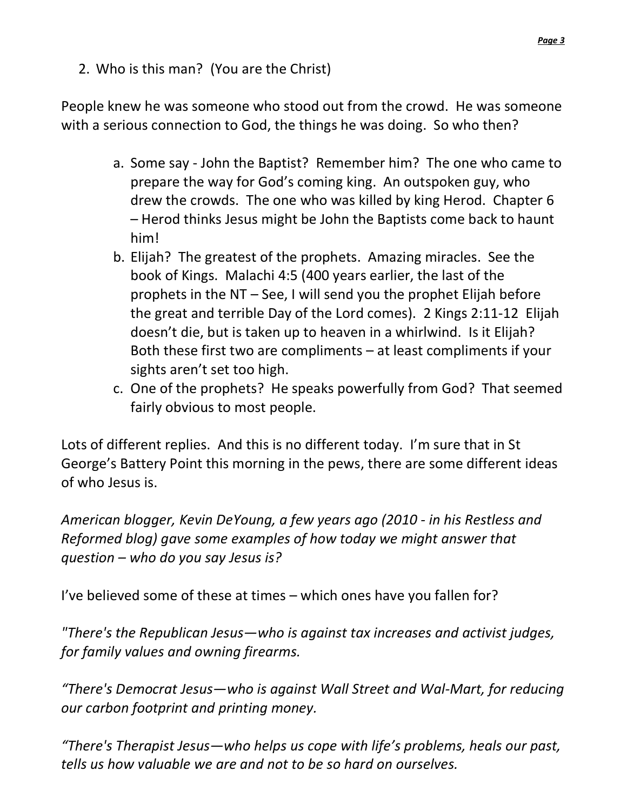2. Who is this man? (You are the Christ)

People knew he was someone who stood out from the crowd. He was someone with a serious connection to God, the things he was doing. So who then?

- a. Some say John the Baptist? Remember him? The one who came to prepare the way for God's coming king. An outspoken guy, who drew the crowds. The one who was killed by king Herod. Chapter 6 – Herod thinks Jesus might be John the Baptists come back to haunt him!
- b. Elijah? The greatest of the prophets. Amazing miracles. See the book of Kings. Malachi 4:5 (400 years earlier, the last of the prophets in the NT – See, I will send you the prophet Elijah before the great and terrible Day of the Lord comes). 2 Kings 2:11-12 Elijah doesn't die, but is taken up to heaven in a whirlwind. Is it Elijah? Both these first two are compliments – at least compliments if your sights aren't set too high.
- c. One of the prophets? He speaks powerfully from God? That seemed fairly obvious to most people.

Lots of different replies. And this is no different today. I'm sure that in St George's Battery Point this morning in the pews, there are some different ideas of who Jesus is.

American blogger, Kevin DeYoung, a few years ago (2010 - in his Restless and Reformed blog) gave some examples of how today we might answer that question – who do you say Jesus is?

I've believed some of these at times – which ones have you fallen for?

"There's the Republican Jesus—who is against tax increases and activist judges, for family values and owning firearms.

"There's Democrat Jesus—who is against Wall Street and Wal-Mart, for reducing our carbon footprint and printing money.

"There's Therapist Jesus—who helps us cope with life's problems, heals our past, tells us how valuable we are and not to be so hard on ourselves.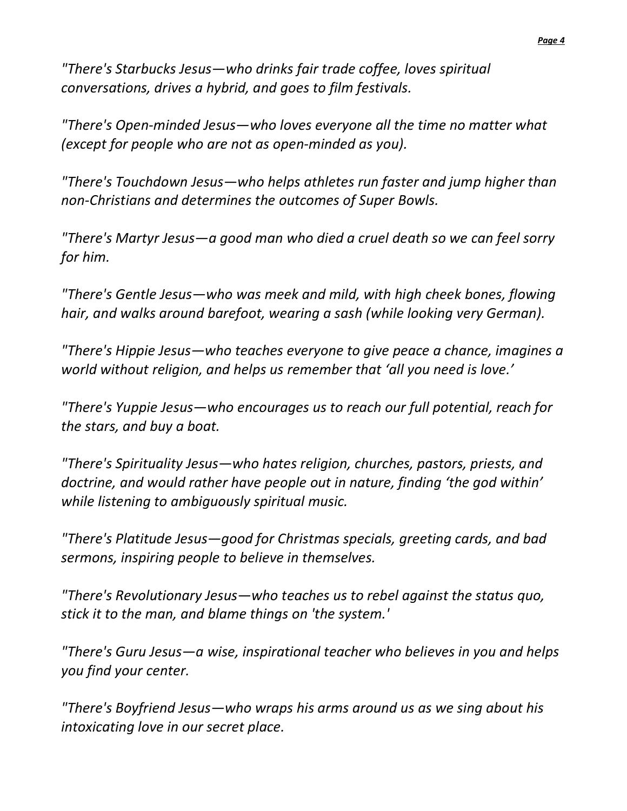"There's Starbucks Jesus—who drinks fair trade coffee, loves spiritual conversations, drives a hybrid, and goes to film festivals.

"There's Open-minded Jesus—who loves everyone all the time no matter what (except for people who are not as open-minded as you).

"There's Touchdown Jesus—who helps athletes run faster and jump higher than non-Christians and determines the outcomes of Super Bowls.

"There's Martyr Jesus—a good man who died a cruel death so we can feel sorry for him.

"There's Gentle Jesus—who was meek and mild, with high cheek bones, flowing hair, and walks around barefoot, wearing a sash (while looking very German).

"There's Hippie Jesus—who teaches everyone to give peace a chance, imagines a world without religion, and helps us remember that 'all you need is love.'

"There's Yuppie Jesus—who encourages us to reach our full potential, reach for the stars, and buy a boat.

"There's Spirituality Jesus—who hates religion, churches, pastors, priests, and doctrine, and would rather have people out in nature, finding 'the god within' while listening to ambiguously spiritual music.

"There's Platitude Jesus—good for Christmas specials, greeting cards, and bad sermons, inspiring people to believe in themselves.

"There's Revolutionary Jesus—who teaches us to rebel against the status quo, stick it to the man, and blame things on 'the system.'

"There's Guru Jesus—a wise, inspirational teacher who believes in you and helps you find your center.

"There's Boyfriend Jesus—who wraps his arms around us as we sing about his intoxicating love in our secret place.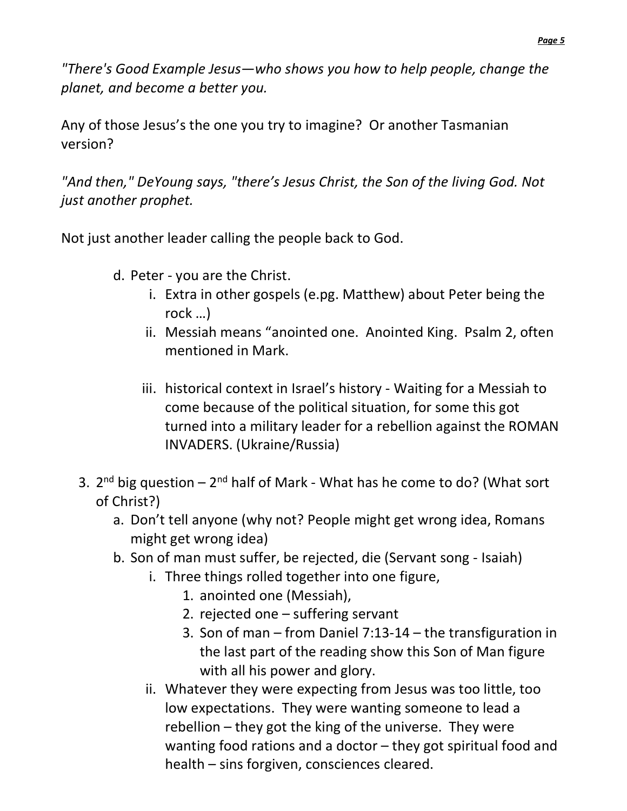"There's Good Example Jesus—who shows you how to help people, change the planet, and become a better you.

Any of those Jesus's the one you try to imagine? Or another Tasmanian version?

"And then," DeYoung says, "there's Jesus Christ, the Son of the living God. Not just another prophet.

Not just another leader calling the people back to God.

- d. Peter you are the Christ.
	- i. Extra in other gospels (e.pg. Matthew) about Peter being the rock …)
	- ii. Messiah means "anointed one. Anointed King. Psalm 2, often mentioned in Mark.
	- iii. historical context in Israel's history Waiting for a Messiah to come because of the political situation, for some this got turned into a military leader for a rebellion against the ROMAN INVADERS. (Ukraine/Russia)
- 3.  $2^{nd}$  big question  $-2^{nd}$  half of Mark What has he come to do? (What sort of Christ?)
	- a. Don't tell anyone (why not? People might get wrong idea, Romans might get wrong idea)
	- b. Son of man must suffer, be rejected, die (Servant song Isaiah)
		- i. Three things rolled together into one figure,
			- 1. anointed one (Messiah),
			- 2. rejected one suffering servant
			- 3. Son of man from Daniel 7:13-14 the transfiguration in the last part of the reading show this Son of Man figure with all his power and glory.
		- ii. Whatever they were expecting from Jesus was too little, too low expectations. They were wanting someone to lead a rebellion – they got the king of the universe. They were wanting food rations and a doctor – they got spiritual food and health – sins forgiven, consciences cleared.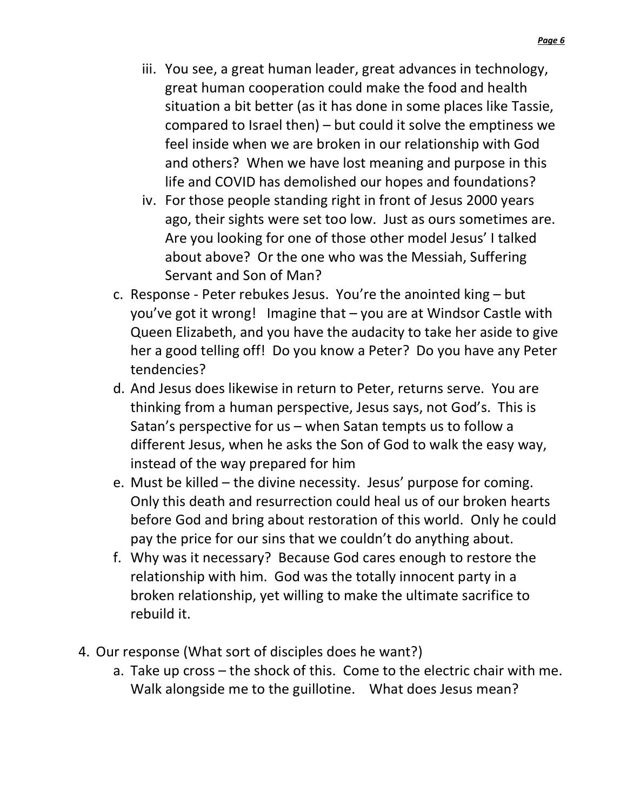- iii. You see, a great human leader, great advances in technology, great human cooperation could make the food and health situation a bit better (as it has done in some places like Tassie, compared to Israel then) – but could it solve the emptiness we feel inside when we are broken in our relationship with God and others? When we have lost meaning and purpose in this life and COVID has demolished our hopes and foundations?
- iv. For those people standing right in front of Jesus 2000 years ago, their sights were set too low. Just as ours sometimes are. Are you looking for one of those other model Jesus' I talked about above? Or the one who was the Messiah, Suffering Servant and Son of Man?
- c. Response Peter rebukes Jesus. You're the anointed king but you've got it wrong! Imagine that – you are at Windsor Castle with Queen Elizabeth, and you have the audacity to take her aside to give her a good telling off! Do you know a Peter? Do you have any Peter tendencies?
- d. And Jesus does likewise in return to Peter, returns serve. You are thinking from a human perspective, Jesus says, not God's. This is Satan's perspective for us – when Satan tempts us to follow a different Jesus, when he asks the Son of God to walk the easy way, instead of the way prepared for him
- e. Must be killed the divine necessity. Jesus' purpose for coming. Only this death and resurrection could heal us of our broken hearts before God and bring about restoration of this world. Only he could pay the price for our sins that we couldn't do anything about.
- f. Why was it necessary? Because God cares enough to restore the relationship with him. God was the totally innocent party in a broken relationship, yet willing to make the ultimate sacrifice to rebuild it.
- 4. Our response (What sort of disciples does he want?)
	- a. Take up cross the shock of this. Come to the electric chair with me. Walk alongside me to the guillotine. What does Jesus mean?